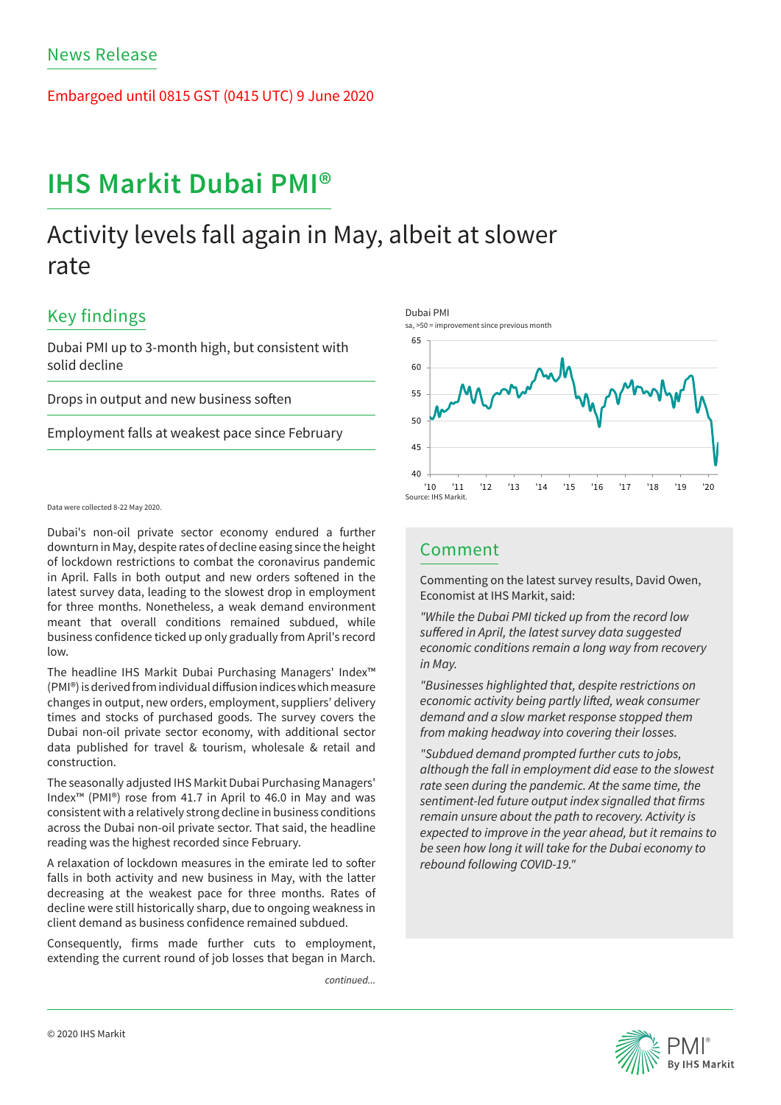Embargoed until 0815 GST (0415 UTC) 9 June 2020

# **IHS Markit Dubai PMI®**

# Activity levels fall again in May, albeit at slower rate

## Key findings

Dubai PMI up to 3-month high, but consistent with solid decline

Drops in output and new business soften

Employment falls at weakest pace since February

## Data were collected 8-22 May 2020.

Dubai's non-oil private sector economy endured a further downturn in May, despite rates of decline easing since the height of lockdown restrictions to combat the coronavirus pandemic in April. Falls in both output and new orders softened in the latest survey data, leading to the slowest drop in employment for three months. Nonetheless, a weak demand environment meant that overall conditions remained subdued, while business confidence ticked up only gradually from April's record low.

The headline IHS Markit Dubai Purchasing Managers' Index™ (PMI®) is derived from individual diffusion indices which measure changes in output, new orders, employment, suppliers' delivery times and stocks of purchased goods. The survey covers the Dubai non-oil private sector economy, with additional sector data published for travel & tourism, wholesale & retail and construction.

The seasonally adjusted IHS Markit Dubai Purchasing Managers' Index™ (PMI®) rose from 41.7 in April to 46.0 in May and was consistent with a relatively strong decline in business conditions across the Dubai non-oil private sector. That said, the headline reading was the highest recorded since February.

A relaxation of lockdown measures in the emirate led to softer falls in both activity and new business in May, with the latter decreasing at the weakest pace for three months. Rates of decline were still historically sharp, due to ongoing weakness in client demand as business confidence remained subdued.

Consequently, firms made further cuts to employment, extending the current round of job losses that began in March.

*continued...*



## Comment

Commenting on the latest survey results, David Owen, Economist at IHS Markit, said:

*"While the Dubai PMI ticked up from the record low*  suffered in April, the latest survey data suggested economic conditions remain a long way from recovery in May.

"Businesses highlighted that, despite restrictions on economic activity being partly lifted, weak consumer *demand and a slow market response stopped them*  from making headway into covering their losses.

"Subdued demand prompted further cuts to jobs, although the fall in employment did ease to the slowest rate seen during the pandemic. At the same time, the sentiment-led future output index signalled that firms remain unsure about the path to recovery. Activity is expected to improve in the year ahead, but it remains to be seen how long it will take for the Dubai economy to rebound following COVID-19."